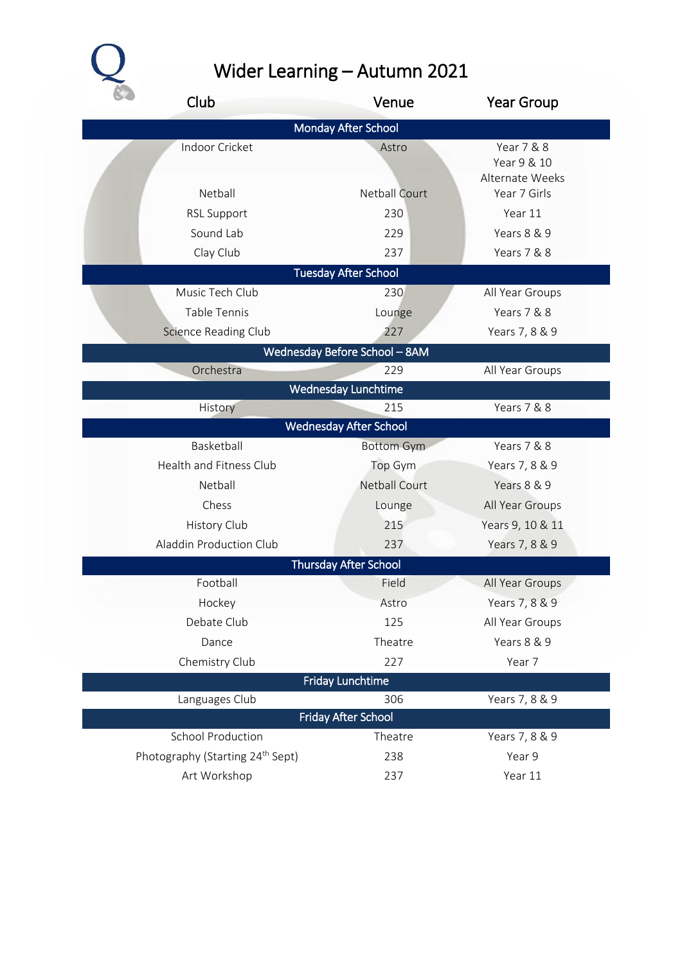$\overline{\mathcal{L}}$ 

## Wider Learning – Autumn 2021

| Club                                         | Venue                             | <b>Year Group</b>                            |
|----------------------------------------------|-----------------------------------|----------------------------------------------|
|                                              | <b>Monday After School</b>        |                                              |
| Indoor Cricket<br>Netball                    | Astro                             | Year 7 & 8<br>Year 9 & 10<br>Alternate Weeks |
|                                              | <b>Netball Court</b>              | Year 7 Girls                                 |
| <b>RSL Support</b>                           | 230                               | Year 11                                      |
| Sound Lab                                    | 229                               | Years 8 & 9                                  |
| Clay Club                                    | 237                               | Years 7 & 8                                  |
|                                              | <b>Tuesday After School</b>       |                                              |
| Music Tech Club                              | 230                               | All Year Groups                              |
| Table Tennis                                 | Lounge                            | Years 7 & 8                                  |
| Science Reading Club                         | 227                               | Years 7, 8 & 9                               |
|                                              | Wednesday Before School - 8AM     |                                              |
| Orchestra                                    | 229<br><b>Wednesday Lunchtime</b> | All Year Groups                              |
| History                                      | 215                               | Years 7 & 8                                  |
|                                              | <b>Wednesday After School</b>     |                                              |
| Basketball                                   | <b>Bottom Gym</b>                 | Years 7 & 8                                  |
| Health and Fitness Club                      | Top Gym                           | Years 7, 8 & 9                               |
| Netball                                      | <b>Netball Court</b>              | Years 8 & 9                                  |
| Chess                                        | Lounge                            | All Year Groups                              |
| History Club                                 | 215                               | Years 9, 10 & 11                             |
| Aladdin Production Club                      | 237                               | Years 7, 8 & 9                               |
|                                              | <b>Thursday After School</b>      |                                              |
| Football                                     | Field                             | All Year Groups                              |
| Hockey                                       | Astro                             | Years 7, 8 & 9                               |
| Debate Club                                  | 125                               | All Year Groups                              |
| Dance                                        | Theatre                           | Years 8 & 9                                  |
| Chemistry Club                               | 227                               | Year 7                                       |
|                                              | <b>Friday Lunchtime</b>           |                                              |
| Languages Club                               | 306                               | Years 7, 8 & 9                               |
|                                              | <b>Friday After School</b>        |                                              |
| <b>School Production</b>                     | Theatre                           | Years 7, 8 & 9                               |
| Photography (Starting 24 <sup>th</sup> Sept) | 238                               | Year 9                                       |
| Art Workshop                                 | 237                               | Year 11                                      |